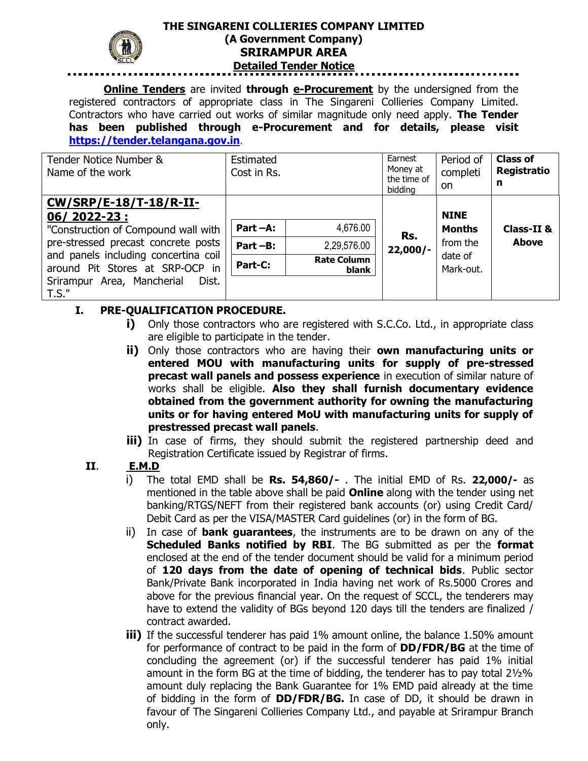

## **THE SINGARENI COLLIERIES COMPANY LIMITED (A Government Company) SRIRAMPUR AREA Detailed Tender Notice**

**Online Tenders** are invited **through e-Procurement** by the undersigned from the registered contractors of appropriate class in The Singareni Collieries Company Limited. Contractors who have carried out works of similar magnitude only need apply. **The Tender has been published through e-Procurement and for details, please visit [https://tender.telangana.gov.in](https://tender.eprocurement.gov.in/)**.

| Tender Notice Number &<br>Name of the work                                                                                                                  | Estimated<br>Cost in Rs.            |                                               | Earnest<br>Money at<br>the time of<br>bidding | Period of<br>completi<br>on                         | <b>Class of</b><br>Registratio<br>n |
|-------------------------------------------------------------------------------------------------------------------------------------------------------------|-------------------------------------|-----------------------------------------------|-----------------------------------------------|-----------------------------------------------------|-------------------------------------|
| CW/SRP/E-18/T-18/R-II-<br>06/2022-23:<br>"Construction of Compound wall with<br>pre-stressed precast concrete posts<br>and panels including concertina coil | Part -A:<br>$Part - B$ :<br>Part-C: | 4,676.00<br>2,29,576.00<br><b>Rate Column</b> | Rs.<br>$22,000/-$                             | <b>NINE</b><br><b>Months</b><br>from the<br>date of | Class-II &<br><b>Above</b>          |
| around Pit Stores at SRP-OCP in<br>Srirampur Area, Mancherial<br>Dist.<br>T.S."                                                                             |                                     | blank                                         |                                               | Mark-out,                                           |                                     |

## **I. PRE-QUALIFICATION PROCEDURE.**

- **i)** Only those contractors who are registered with S.C.Co. Ltd., in appropriate class are eligible to participate in the tender.
- **ii)** Only those contractors who are having their **own manufacturing units or entered MOU with manufacturing units for supply of pre-stressed precast wall panels and possess experience** in execution of similar nature of works shall be eligible. **Also they shall furnish documentary evidence obtained from the government authority for owning the manufacturing units or for having entered MoU with manufacturing units for supply of prestressed precast wall panels**.
- **iii)** In case of firms, they should submit the registered partnership deed and Registration Certificate issued by Registrar of firms.

## **II**. **E.M.D**

- i) The total EMD shall be **Rs. 54,860/-** . The initial EMD of Rs. **22,000/-** as mentioned in the table above shall be paid **Online** along with the tender using net banking/RTGS/NEFT from their registered bank accounts (or) using Credit Card/ Debit Card as per the VISA/MASTER Card guidelines (or) in the form of BG.
- ii) In case of **bank guarantees**, the instruments are to be drawn on any of the **Scheduled Banks notified by RBI**. The BG submitted as per the **format**  enclosed at the end of the tender document should be valid for a minimum period of **120 days from the date of opening of technical bids**. Public sector Bank/Private Bank incorporated in India having net work of Rs.5000 Crores and above for the previous financial year. On the request of SCCL, the tenderers may have to extend the validity of BGs beyond 120 days till the tenders are finalized / contract awarded.
- **iii)** If the successful tenderer has paid 1% amount online, the balance 1.50% amount for performance of contract to be paid in the form of **DD/FDR/BG** at the time of concluding the agreement (or) if the successful tenderer has paid 1% initial amount in the form BG at the time of bidding, the tenderer has to pay total 2½% amount duly replacing the Bank Guarantee for 1% EMD paid already at the time of bidding in the form of **DD/FDR/BG.** In case of DD, it should be drawn in favour of The Singareni Collieries Company Ltd., and payable at Srirampur Branch only.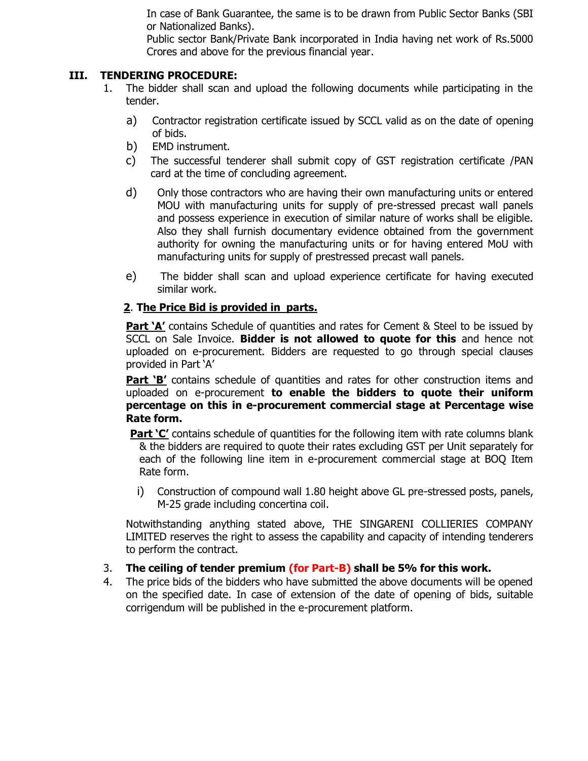In case of Bank Guarantee, the same is to be drawn from Public Sector Banks (SBI or Nationalized Banks).

Public sector Bank/Private Bank incorporated in India having net work of Rs.5000 Crores and above for the previous financial year.

### **III. TENDERING PROCEDURE:**

- 1. The bidder shall scan and upload the following documents while participating in the tender.
	- a) Contractor registration certificate issued by SCCL valid as on the date of opening of bids.
	- b) EMD instrument.
	- c) The successful tenderer shall submit copy of GST registration certificate /PAN card at the time of concluding agreement.
	- d) Only those contractors who are having their own manufacturing units or entered MOU with manufacturing units for supply of pre-stressed precast wall panels and possess experience in execution of similar nature of works shall be eligible. Also they shall furnish documentary evidence obtained from the government authority for owning the manufacturing units or for having entered MoU with manufacturing units for supply of prestressed precast wall panels.
	- e) The bidder shall scan and upload experience certificate for having executed similar work.

### **2**. **The Price Bid is provided in parts.**

**Part 'A'** contains Schedule of quantities and rates for Cement & Steel to be issued by SCCL on Sale Invoice. **Bidder is not allowed to quote for this** and hence not uploaded on e-procurement. Bidders are requested to go through special clauses provided in Part 'A'

**Part 'B'** contains schedule of quantities and rates for other construction items and uploaded on e-procurement **to enable the bidders to quote their uniform percentage on this in e-procurement commercial stage at Percentage wise Rate form.** 

**Part 'C'** contains schedule of quantities for the following item with rate columns blank & the bidders are required to quote their rates excluding GST per Unit separately for each of the following line item in e-procurement commercial stage at BOQ Item Rate form.

i) Construction of compound wall 1.80 height above GL pre-stressed posts, panels, M-25 grade including concertina coil.

Notwithstanding anything stated above, THE SINGARENI COLLIERIES COMPANY LIMITED reserves the right to assess the capability and capacity of intending tenderers to perform the contract.

- 3. **The ceiling of tender premium (for Part-B) shall be 5% for this work.**
- 4. The price bids of the bidders who have submitted the above documents will be opened on the specified date. In case of extension of the date of opening of bids, suitable corrigendum will be published in the e-procurement platform.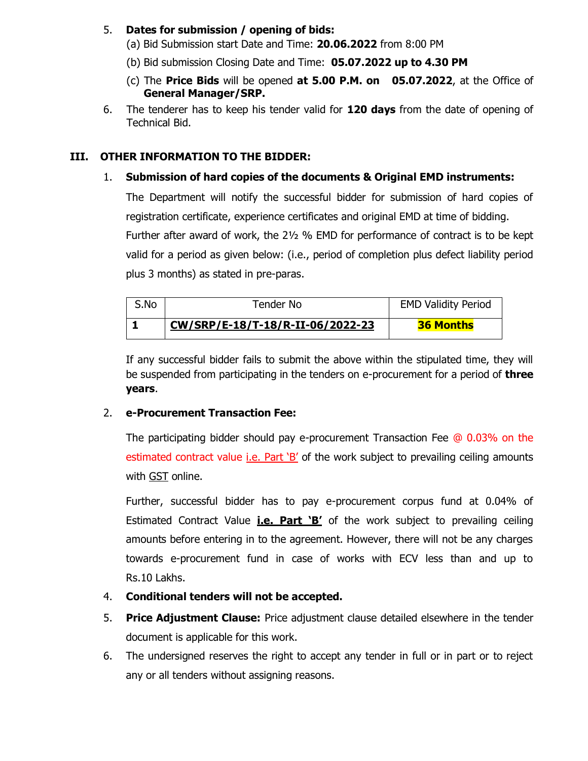### 5. **Dates for submission / opening of bids:**

(a) Bid Submission start Date and Time: **20.06.2022** from 8:00 PM

(b) Bid submission Closing Date and Time: **05.07.2022 up to 4.30 PM**

- (c) The **Price Bids** will be opened **at 5.00 P.M. on 05.07.2022**, at the Office of **General Manager/SRP.**
- 6. The tenderer has to keep his tender valid for **120 days** from the date of opening of Technical Bid.

# **III. OTHER INFORMATION TO THE BIDDER:**

# 1. **Submission of hard copies of the documents & Original EMD instruments:**

The Department will notify the successful bidder for submission of hard copies of registration certificate, experience certificates and original EMD at time of bidding. Further after award of work, the 2½ % EMD for performance of contract is to be kept valid for a period as given below: (i.e., period of completion plus defect liability period

plus 3 months) as stated in pre-paras.

| S.No | Tender No                        | <b>EMD Validity Period</b> |
|------|----------------------------------|----------------------------|
|      | CW/SRP/E-18/T-18/R-II-06/2022-23 | <b>36 Months</b>           |

If any successful bidder fails to submit the above within the stipulated time, they will be suspended from participating in the tenders on e-procurement for a period of **three years**.

## 2. **e-Procurement Transaction Fee:**

The participating bidder should pay e-procurement Transaction Fee @ 0.03% on the estimated contract value *i.e.* Part 'B' of the work subject to prevailing ceiling amounts with GST online.

Further, successful bidder has to pay e-procurement corpus fund at 0.04% of Estimated Contract Value **i.e. Part 'B'** of the work subject to prevailing ceiling amounts before entering in to the agreement. However, there will not be any charges towards e-procurement fund in case of works with ECV less than and up to Rs.10 Lakhs.

- 4. **Conditional tenders will not be accepted.**
- 5. **Price Adjustment Clause:** Price adjustment clause detailed elsewhere in the tender document is applicable for this work.
- 6. The undersigned reserves the right to accept any tender in full or in part or to reject any or all tenders without assigning reasons.